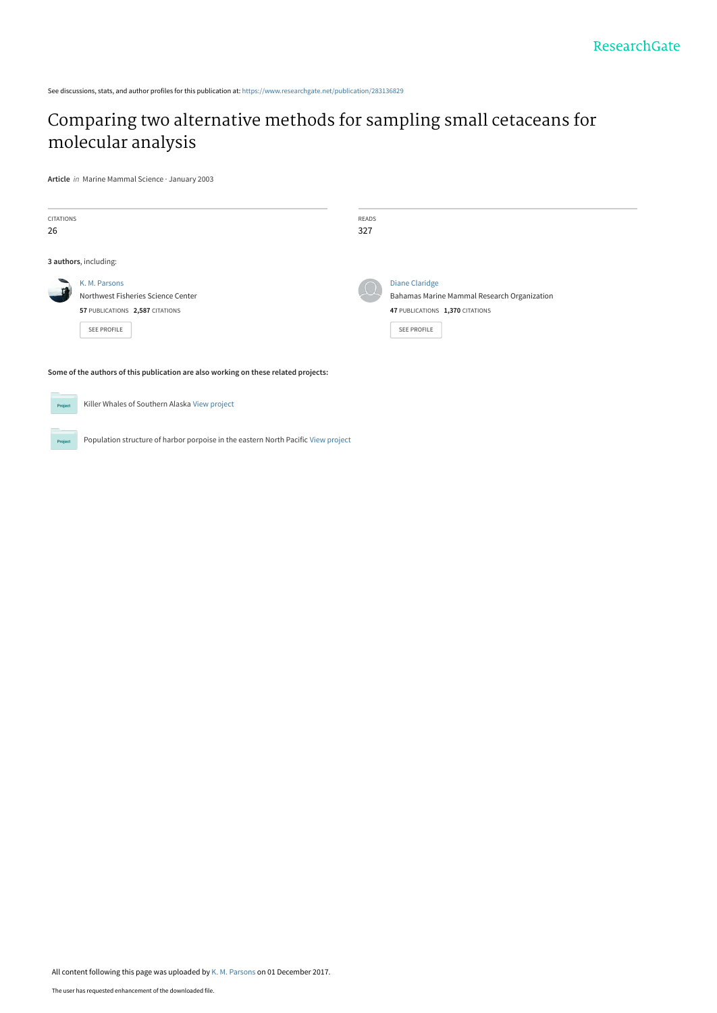See discussions, stats, and author profiles for this publication at: [https://www.researchgate.net/publication/283136829](https://www.researchgate.net/publication/283136829_Comparing_two_alternative_methods_for_sampling_small_cetaceans_for_molecular_analysis?enrichId=rgreq-5a5f459b211680fbb3363add87962542-XXX&enrichSource=Y292ZXJQYWdlOzI4MzEzNjgyOTtBUzo1NjY1NDY0MzE3OTExMDRAMTUxMjA4NjYwMzE1MQ%3D%3D&el=1_x_2&_esc=publicationCoverPdf)

# [Comparing two alternative methods for sampling small cetaceans for](https://www.researchgate.net/publication/283136829_Comparing_two_alternative_methods_for_sampling_small_cetaceans_for_molecular_analysis?enrichId=rgreq-5a5f459b211680fbb3363add87962542-XXX&enrichSource=Y292ZXJQYWdlOzI4MzEzNjgyOTtBUzo1NjY1NDY0MzE3OTExMDRAMTUxMjA4NjYwMzE1MQ%3D%3D&el=1_x_3&_esc=publicationCoverPdf) molecular analysis

**Article** in Marine Mammal Science · January 2003

Project

| <b>CITATIONS</b><br>26                                                              |                                               | READS<br>327 |                                             |  |  |  |  |  |
|-------------------------------------------------------------------------------------|-----------------------------------------------|--------------|---------------------------------------------|--|--|--|--|--|
| 3 authors, including:                                                               |                                               |              |                                             |  |  |  |  |  |
|                                                                                     | K. M. Parsons                                 |              | <b>Diane Claridge</b>                       |  |  |  |  |  |
|                                                                                     | Northwest Fisheries Science Center            |              | Bahamas Marine Mammal Research Organization |  |  |  |  |  |
|                                                                                     | 57 PUBLICATIONS 2,587 CITATIONS               |              | 47 PUBLICATIONS 1,370 CITATIONS             |  |  |  |  |  |
|                                                                                     | <b>SEE PROFILE</b>                            |              | SEE PROFILE                                 |  |  |  |  |  |
|                                                                                     |                                               |              |                                             |  |  |  |  |  |
| Some of the authors of this publication are also working on these related projects: |                                               |              |                                             |  |  |  |  |  |
| Project                                                                             | Killer Whales of Southern Alaska View project |              |                                             |  |  |  |  |  |

Population structure of harbor porpoise in the eastern North Pacific [View project](https://www.researchgate.net/project/Population-structure-of-harbor-porpoise-in-the-eastern-North-Pacific?enrichId=rgreq-5a5f459b211680fbb3363add87962542-XXX&enrichSource=Y292ZXJQYWdlOzI4MzEzNjgyOTtBUzo1NjY1NDY0MzE3OTExMDRAMTUxMjA4NjYwMzE1MQ%3D%3D&el=1_x_9&_esc=publicationCoverPdf)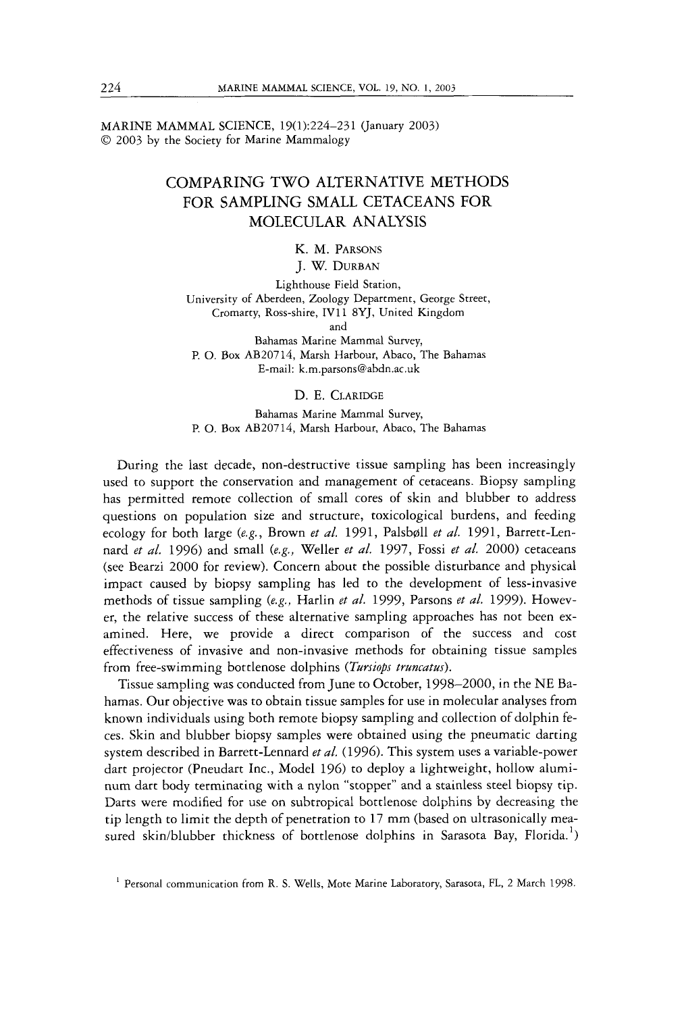MARINE MAMMAL SCIENCE, 19(1):224-231 (January 2003) *0* 2003 by the Society for Marine Mammalogy

# COMPARING TWO ALTERNATIVE METHODS FOR SAMPLING SMALL CETACEANS FOR MOLECULAR ANALYSIS

K. M. PARSONS

J. W. DURBAN

Lighthouse Field Station, University of Aberdeen, Zoology Department, George Street, Cromarty, Ross-shire, IV11 *8YJ,* United Kingdom and Bahamas Marine Mammal Survey,

P. 0. Box AB20714, Marsh Harbour, Abaco, The Bahamas E-mail: k.m.parsons@abdn.ac.uk

## D. E. CLARIDGE

Bahamas Marine Mammal Survey, P. 0. **Box** AB20714, Marsh Harbour, Abaco, The Bahamas

During the last decade, non-destructive tissue sampling has been increasingly used to support the conservation and management of cetaceans. Biopsy sampling has permitted remote collection of small cores of skin and blubber to address questions on population size and structure, toxicological burdens, and feeding ecology for both large *(e.g., Brown et al. 1991, Palsbøll et al. 1991, Barrett-Len*nard *et al.* 1996) and small (e.g., Weller *et al.* 1997, Fossi *et al.* 2000) cetaceans (see Bearzi 2000 for review). Concern about the possible disturbance and physical impact caused by biopsy sampling has led to the development of less-invasive methods of tissue sampling *(e.g., Harlin et al. 1999, Parsons et al. 1999)*. However, the relative success of these alternative sampling approaches has not been examined. Here, we provide a direct comparison of the success and cost effectiveness of invasive and non-invasive methods for obtaining tissue samples from free-swimming bottlenose dolphins (Tursiops truncatus).

Tissue sampling was conducted from June to October, 1998-2000, in the NE Bahamas. Our objective was to obtain tissue samples for use in molecular analyses from known individuals using both remote biopsy sampling and collection of dolphin feces. Skin and blubber biopsy samples were obtained using the pneumatic darting system described in Barrett-Lennard et al. (1996). This system uses a variable-power dart projector (Pneudart Inc., Model 196) to deploy a lightweight, hollow aluminum dart body terminating with a nylon "stopper" and a stainless steel biopsy tip. Darts were modified for use on subtropical bottlenose dolphins by decreasing the tip length to limit the depth of penetration to 17 mm (based on ultrasonically measured skin/blubber thickness of bottlenose dolphins in Sarasota Bay, Florida.<sup>1</sup>)

<sup>&#</sup>x27; Personal communication from R. S. Wells, Mote Marine Laboratory, Sarasota, FL, 2 March 1998.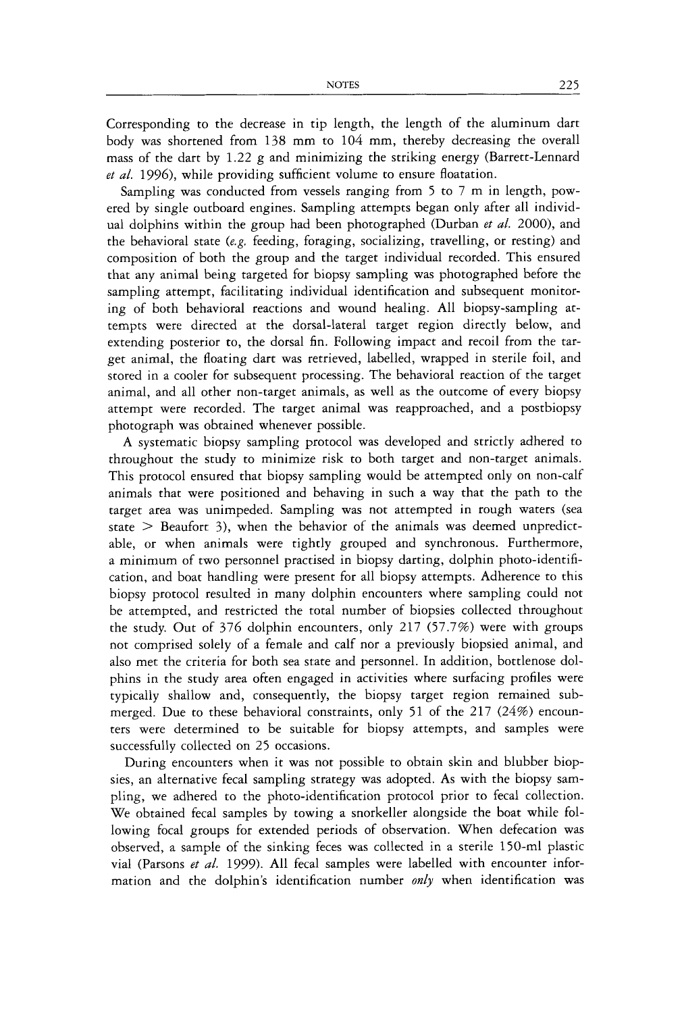Corresponding to the decrease in tip length, the length of the aluminum dart body was shortened from 138 mm to 104 mm, thereby decreasing the overall mass of the dart by 1.22 g and minimizing the striking energy (Barrett-Lennard *et al.* 1996), while providing sufficient volume to ensure floatation.

Sampling was conducted from vessels ranging from 5 to *7* m in length, powered by single outboard engines. Sampling attempts began only after all individual dolphins within the group had been photographed (Durban *et al. 2000),* and the behavioral state *(e.g.* feeding, foraging, socializing, travelling, or resting) and composition of both the group and the target individual recorded. This ensured that any animal being targeted for biopsy sampling was photographed before the sampling attempt, facilitating individual identification and subsequent monitoring of both behavioral reactions and wound healing. All biopsy-sampling attempts were directed at the dorsal-lateral target region directly below, and extending posterior to, the dorsal fin. Following impact and recoil from the target animal, the floating dart was retrieved, labelled, wrapped in sterile foil, and stored in a cooler for subsequent processing. The behavioral reaction of the target animal, and all other non-target animals, as well as the outcome of every biopsy attempt were recorded. The target animal was reapproached, and a postbiopsy photograph was obtained whenever possible.

A systematic biopsy sampling protocol was developed and strictly adhered to throughout the study to minimize risk to both target and non-target animals. This protocol ensured that biopsy sampling would be attempted only on non-calf animals that were positioned and behaving in such a way that the path to the target area was unimpeded. Sampling was not attempted in rough waters (sea state  $>$  Beaufort 3), when the behavior of the animals was deemed unpredictable, or when animals were tightly grouped and synchronous. Furthermore, a minimum of two personnel practised in biopsy darting, dolphin photo-identification, and boat handling were present for all biopsy attempts. Adherence to this biopsy protocol resulted in many dolphin encounters where sampling could not be attempted, and restricted the total number of biopsies collected throughout the study. Out of 376 dolphin encounters, only 217 (57.7%) were with groups not comprised solely of a female and calf nor a previously biopsied animal, and also met the criteria for both sea state and personnel. In addition, bottlenose dolphins in the study area often engaged in activities where surfacing profiles were typically shallow and, consequently, the biopsy target region remained submerged. Due to these behavioral constraints, only 51 of the 217 (24%) encounters were determined to be suitable for biopsy attempts, and samples were successfully collected on 25 occasions.

During encounters when it was not possible to obtain skin and blubber biopsies, an alternative fecal sampling strategy was adopted. As with the biopsy sampling, we adhered to the photo-identification protocol prior to fecal collection. We obtained fecal samples by towing a snorkeller alongside the boat while following focal groups for extended periods of observation. When defecation was observed, a sample of the sinking feces was collected in a sterile 150-ml plastic vial (Parsons *et al.* 1999). **All** fecal samples were labelled with encounter information and the dolphin's identification number *only* when identification was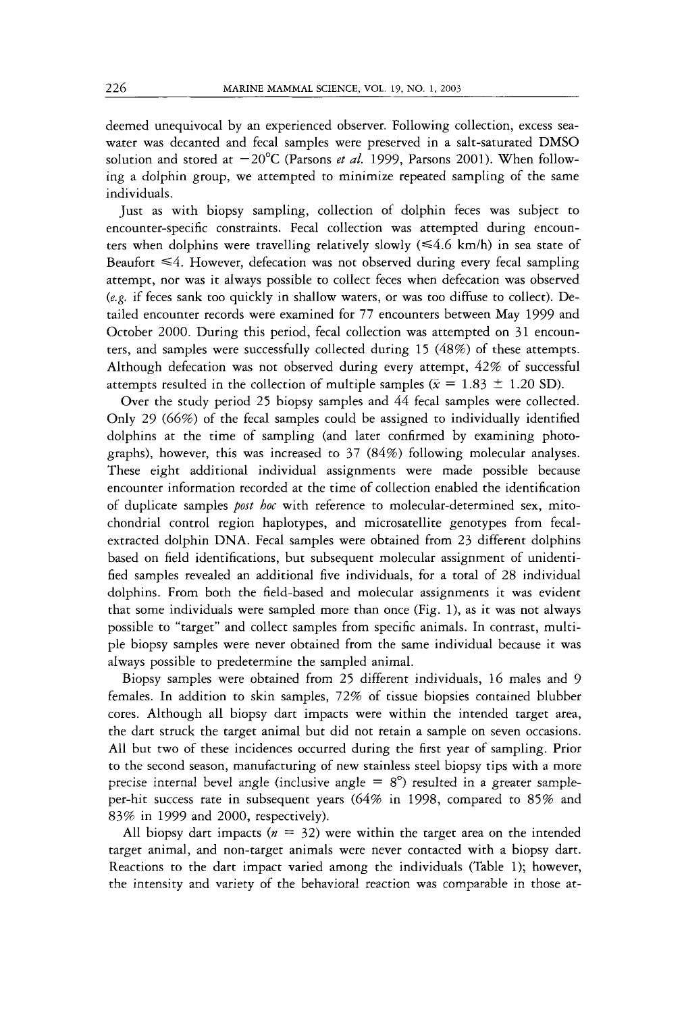deemed unequivocal by an experienced observer. Following collection, excess seawater was decanted and fecal samples were preserved in a salt-saturated DMSO solution and stored at  $-20^{\circ}C$  (Parsons *et al.* 1999, Parsons 2001). When following a dolphin group, we attempted to minimize repeated sampling of the same individuals.

Just as with biopsy sampling, collection of dolphin feces was subject to encounter-specific constraints. Fecal collection was attempted during encounters when dolphins were travelling relatively slowly *(S4.6* km/h) in sea state of Beaufort *S4.* However, defecation was not observed during every fecal sampling attempt, nor was it always possible to collect feces when defecation was observed (e.g. if feces sank too quickly in shallow waters, or was too diffuse to collect). Detailed encounter records were examined for *77* encounters between May 1999 and October 2000. During this period, fecal collection was attempted on *31* encounters, and samples were successfully collected during 15 *(48%)* of these attempts. Although defecation was not observed during every attempt, *42%* of successful attempts resulted in the collection of multiple samples  $(\bar{x} = 1.83 \pm 1.20 \text{ SD})$ .

Over the study period 25 biopsy samples and *44* fecal samples were collected. Only 29 *(66%)* of the fecal samples could be assigned to individually identified dolphins at the time of sampling (and later confirmed by examining photographs), however, this was increased to *37 (84%)* following molecular analyses. These eight additional individual assignments were made possible because encounter information recorded at the time of collection enabled the identification of duplicate samples *past hac* with reference to molecular-determined sex, mitochondrial control region haplotypes, and microsatellite genotypes from fecalextracted dolphin DNA. Fecal samples were obtained from *23* different dolphins based on field identifications, but subsequent molecular assignment of unidentified samples revealed an additional five individuals, for a total of 28 individual dolphins. From both the field-based and molecular assignments it was evident that some individuals were sampled more than once (Fig. l), as it was not always possible to "target" and collect samples from specific animals. In contrast, multiple biopsy samples were never obtained from the same individual because it was always possible to predetermine the sampled animal.

Biopsy samples were obtained from *25* different individuals, *16* males and 9 females. In addition to skin samples, 72% of tissue biopsies contained blubber cores. Although all biopsy dart impacts were within the intended target area, the dart struck the target animal but did not retain a sample on seven occasions. All but two of these incidences occurred during the first year of sampling. Prior to the second season, manufacturing of new stainless steel biopsy tips with a more precise internal bevel angle (inclusive angle  $= 8^{\circ}$ ) resulted in a greater sampleper-hit success rate in subsequent years *(64%* in 1998, compared to 85% and *83%* in 1999 and 2000, respectively).

All biopsy dart impacts  $(n = 32)$  were within the target area on the intended target animal, and non-target animals were never contacted with a biopsy dart. Reactions to the dart impact varied among the individuals (Table 1); however, the intensity and variety of the behavioral reaction was comparable in those at-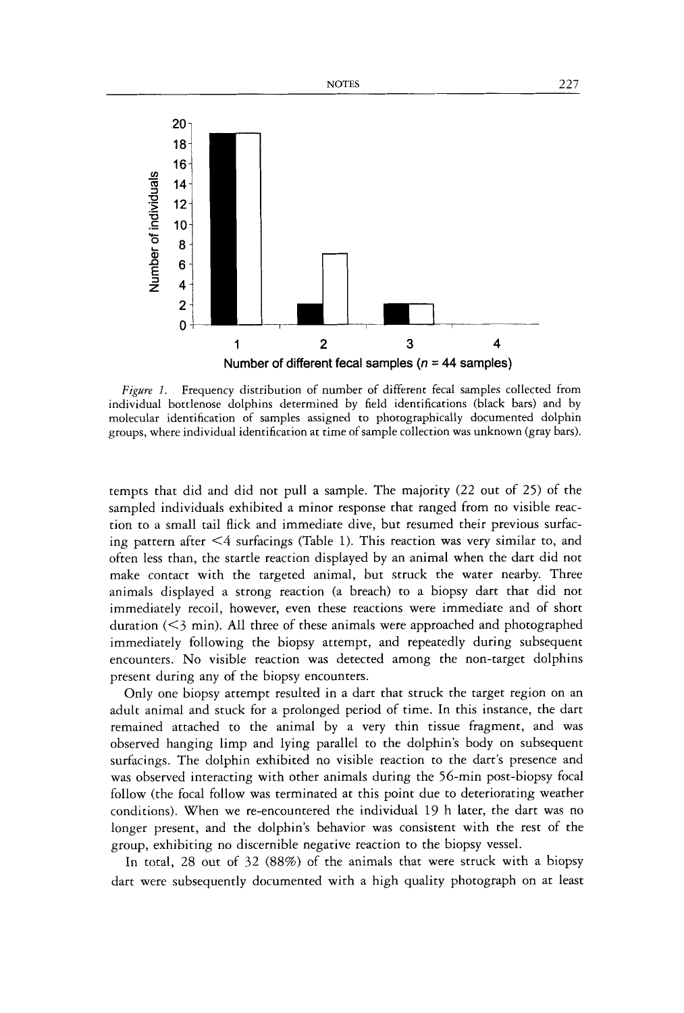

*Figwe 1.* Frequency distribution of number of different fecal samples collected from individual bottlenose dolphins determined by field identifications (black bars) and by molecular identification of samples assigned to photographically documented dolphin groups, where individual identificarion at time of sample collection was unknown (gray bars).

tempts that did and did not pull a sample. The majority (22 out of 25) of the sampled individuals exhibited a minor response that ranged from no visible reaction to a small tail flick and immediate dive, but resumed their previous surfacing pattern after *<4* surfacings (Table 1). This reaction was very similar to, and often less than, the startle reaction displayed by an animal when the dart did not make contact with the targeted animal, but struck the water nearby. Three animals displayed a strong reaction (a breach) to a biopsy dart that did not immediately recoil, however, even these reactions were immediate and of short duration *(<3* min). All three of these animals were approached and photographed immediately following the biopsy attempt, and repeatedly during subsequent encounters, No visible reaction was detected among the non-target dolphins present during any of the biopsy encounters.

Only one biopsy attempt resulted in a dart that struck the target region on an adult animal and stuck for a prolonged period of time. In this instance, the dart remained attached to the animal by a very thin tissue fragment, and was observed hanging limp and lying parallel to the dolphin's body on subsequent surfacings. The dolphin exhibited no visible reaction to the dart's presence and was observed interacting with other animals during the 56-min post-biopsy focal follow (the focal follow was terminated at this point due to deteriorating weather conditions). When we re-encountered the individual 19 h later, the dart was no longer present, and the dolphin's behavior was consistent with the rest of the group, exhibiting no discernible negative reaction to the biopsy vessel.

In total, *28* out of *32 (88%)* of the animals that were struck with a biopsy dart were subsequently documented with a high quality photograph on at least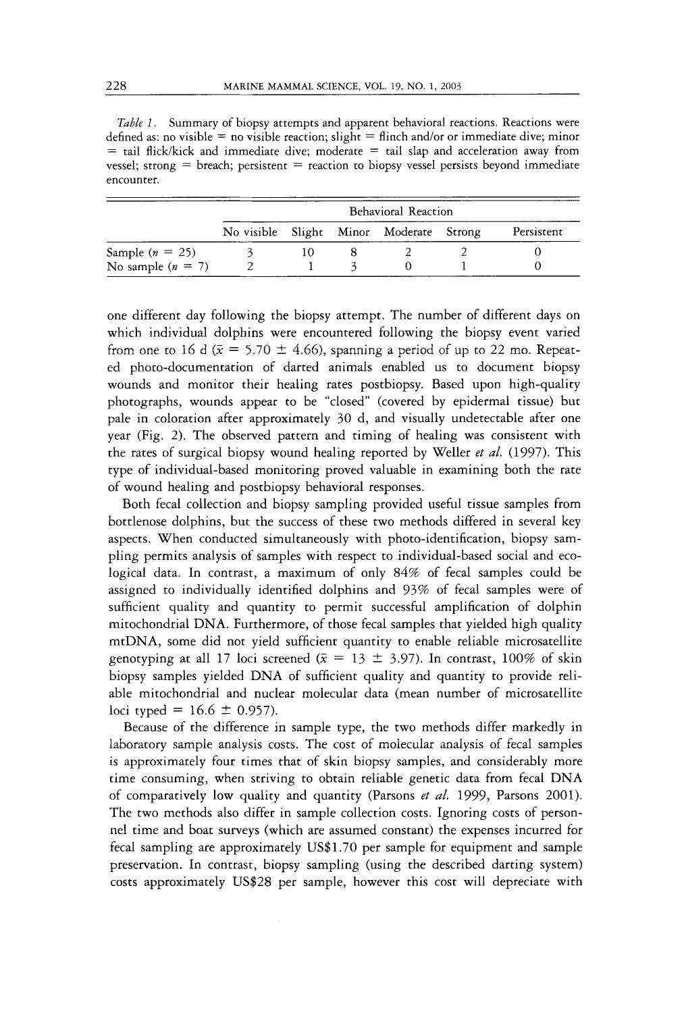*Tuhle 1.* Summary of biopsy attempts and apparent behavioral reactions. Reactions were defined as: no visible  $=$  no visible reaction; slight  $=$  flinch and/or or immediate dive; minor  $=$  tail flick/kick and immediate dive; moderate  $=$  tail slap and acceleration away from vessel; strong  $=$  breach; persistent  $=$  reaction to biopsy vessel persists beyond immediate encounter.

|                     | Behavioral Reaction                     |  |  |  |  |            |  |
|---------------------|-----------------------------------------|--|--|--|--|------------|--|
|                     | No visible Slight Minor Moderate Strong |  |  |  |  | Persistent |  |
| Sample $(n = 25)$   |                                         |  |  |  |  |            |  |
| No sample $(n = 7)$ |                                         |  |  |  |  |            |  |

one different day following the biopsy attempt. The number of different days on which individual dolphins were encountered following the biopsy event varied from one to 16 d  $(\bar{x} = 5.70 \pm 4.66)$ , spanning a period of up to 22 mo. Repeated photo-documentation of darted animals enabled us to document biopsy wounds and monitor their healing rates postbiopsy. Based upon high-quality photographs, wounds appear to be "closed" (covered by epidermal tissue) but pale in coloration after approximately 30 d, and visually undetectable after one year (Fig. 2). The observed pattern and timing of healing was consistent with the rates of surgical biopsy wound healing reported by Weller *et a/.* (1997). This type of individual-based monitoring proved valuable in examining both the rate of wound healing and postbiopsy behavioral responses.

Both fecal collection and biopsy sampling provided useful tissue samples from bottlenose dolphins, but the success of these two methods differed in several key aspects. When conducted simultaneously with photo-identification, biopsy sampling permits analysis of samples with respect to individual-based social and ecological data. In contrast, a maximum of only *84%* of fecal samples could be assigned to individually identified dolphins and 93% of fecal samples were of sufficient quality and quantity to permit successful amplification of dolphin mitochondrial DNA. Furthermore, of those fecal samples that yielded high quality mtDNA, some did not yield sufficient quantity to enable reliable microsatellite genotyping at all 17 loci screened  $(\bar{x} = 13 \pm 3.97)$ . In contrast, 100% of skin biopsy samples yielded DNA of sufficient quality and quantity to provide reliable mitochondrial and nuclear molecular data (mean number of microsatellite loci typed =  $16.6 \pm 0.957$ ).

Because of the difference in sample type, the two methods differ markedly in laboratory sample analysis costs. The cost of molecular analysis of fecal samples is approximately four times that of skin biopsy samples, and considerably more time consuming, when striving to obtain reliable genetic data from fecal DNA of comparatively low quality and quantity (Parsons *et al.* 1999, Parsons 2001). The two methods also differ in sample collection costs. Ignoring costs of personnel time and boat surveys (which are assumed constant) the expenses incurred for fecal sampling are approximately US\$1.70 per sample for equipment and sample preservation. In contrast, biopsy sampling (using the described darting system) costs approximately US\$28 per sample, however this cost will depreciate with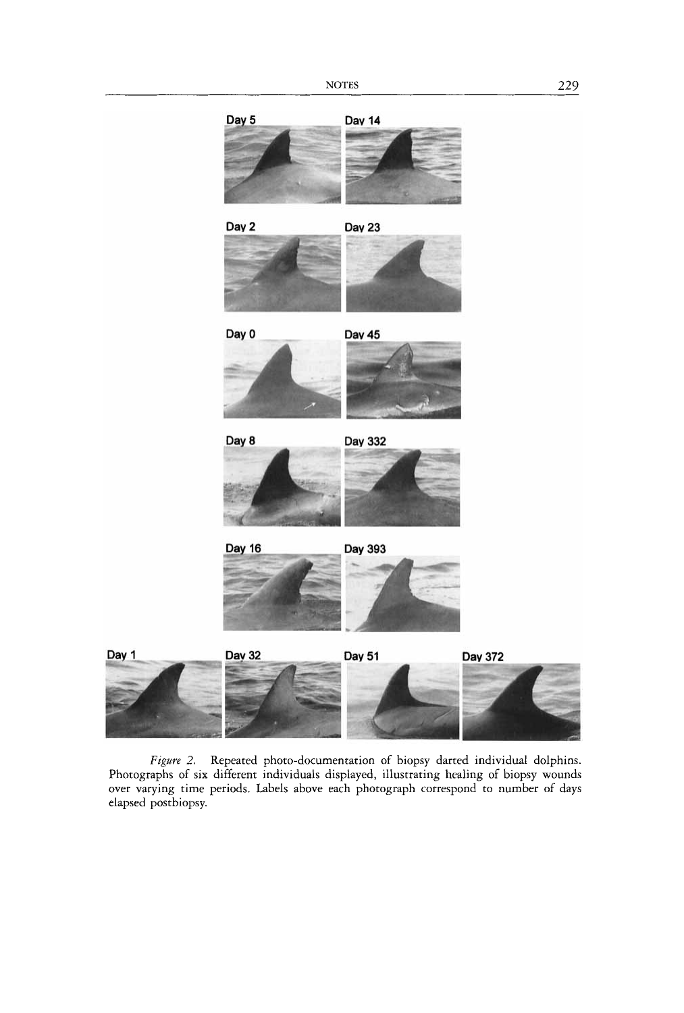

Figure 2. Repeated photo-documentation of biopsy darted individual dolphins. Photographs of six different individuals displayed, illustrating healing of biopsy wounds over varying time periods. Labels above each photograph correspond to number of days elapsed postbiopsy.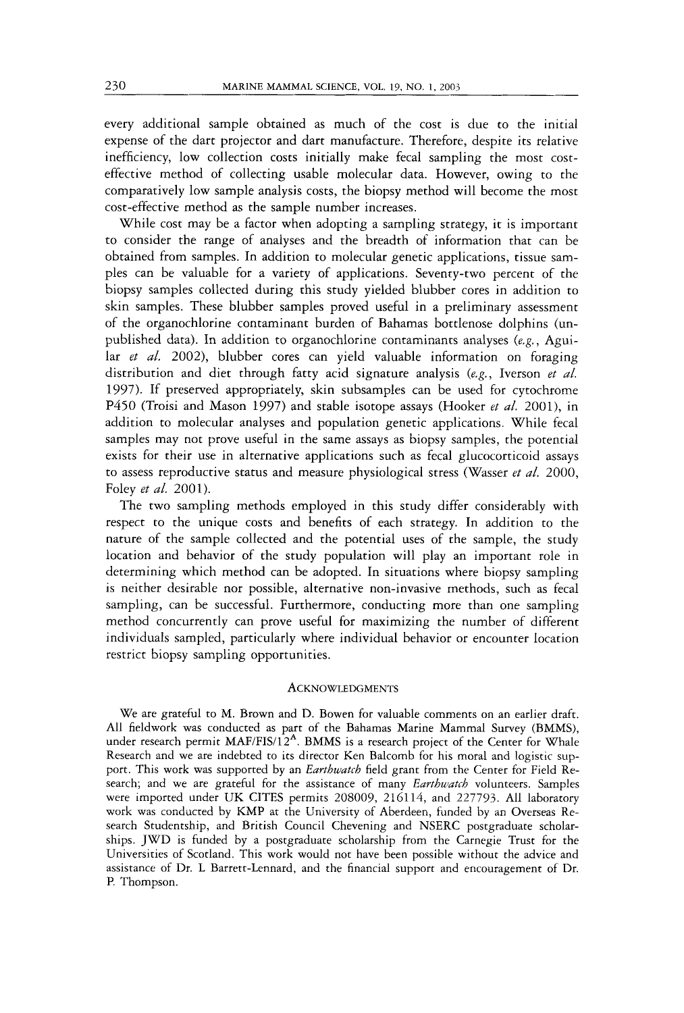every additional sample obtained as much of the cost is due to the initial expense of the dart projector and dart manufacture. Therefore, despite its relative inefficiency, low collection costs initially make fecal sampling the most costeffective method of collecting usable molecular data. However, owing to the comparatively low sample analysis costs, the biopsy method will become the most cost-effective method as the sample number increases.

While cost may be a factor when adopting a sampling strategy, it is important to consider the range of analyses and the breadth of information that can be obtained from samples. In addition to molecular genetic applications, tissue samples can be valuable for a variety of applications. Seventy-two percent of the biopsy samples collected during this study yielded blubber cores in addition to skin samples. These blubber samples proved useful in a preliminary assessment of the organochlorine contaminant burden of Bahamas bottlenose dolphins (unpublished data). In addition to organochlorine contaminants analyses (e.g., Aguilar *et al.* 2002), blubber cores can yield valuable information on foraging distribution and diet through fatty acid signature analysis *(e.g.,* Iverson *et al.*  1997). If preserved appropriately, skin subsamples can be used for cytochrome *P450* (Troisi and Mason 1997) and stable isotope assays (Hooker *et al. 2001),* in addition to molecular analyses and population genetic applications. While fecal samples may not prove useful in the same assays as biopsy samples, the potential exists for their use in alternative applications such as fecal glucocorticoid assays to assess reproductive status and measure physiological stress (Wasser *et al.* 2000, Foley *et al.* 2001).

The two sampling methods employed in this study differ considerably with respect to the unique costs and benefits of each strategy. In addition to the nature of the sample collected and the potential uses of the sample, the study location and behavior of the study population will play an important role in determining which method can be adopted. In situations where biopsy sampling is neither desirable nor possible, alternative non-invasive methods, such as fecal sampling, can be successful. Furthermore, conducting more than one sampling method concurrently can prove useful for maximizing the number of different individuals sampled, particularly where individual behavior or encounter location restrict biopsy sampling opportunities.

### **ACKNOWLEDGMENTS**

We are grateful to M. Brown and D. Bowen for valuable comments on an earlier draft. All fieldwork was conducted as part of the Bahamas Marine Mammal Survey (BMMS), under research permit  $MAF/FIS/12^A$ . BMMS is a research project of the Center for Whale Research and we are indebted to its director Ken Balcomb for his moral and logistic support. This work was supported by an *Earthwatch* field grant from the Center for Field Research; and we are grateful for the assistance of many *Earthwatch* volunteers. Samples were imported under UK CITES permits 208009, 216114, and 227793. **All** laboratory work was conducred by KMP at the University of Aberdeen, funded by an Overseas Research Studentship, and British Council Chevening and NSERC postgraduate scholarships. JWD is funded by a postgraduate scholarship from the Carnegie Trust for the Universities of Scotland. This work would not have been possible without the advice and assistance of Dr. L Barrett-Lennard, and the financial support and encouragement of Dr. P. Thompson.